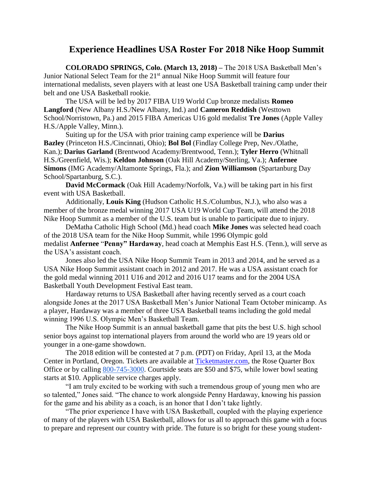## **Experience Headlines USA Roster For 2018 Nike Hoop Summit**

**COLORADO SPRINGS, Colo. (March 13, 2018) –** The 2018 USA Basketball Men's Junior National Select Team for the 21<sup>st</sup> annual Nike Hoop Summit will feature four international medalists, seven players with at least one USA Basketball training camp under their belt and one USA Basketball rookie.

The USA will be led by 2017 FIBA U19 World Cup bronze medalists **Romeo Langford** (New Albany H.S./New Albany, Ind.) and **Cameron Reddish** (Westtown School/Norristown, Pa.) and 2015 FIBA Americas U16 gold medalist **Tre Jones** (Apple Valley H.S./Apple Valley, Minn.).

Suiting up for the USA with prior training camp experience will be **Darius Bazley** (Princeton H.S./Cincinnati, Ohio); **Bol Bol** (Findlay College Prep, Nev./Olathe, Kan.); **Darius Garland** (Brentwood Academy/Brentwood, Tenn.); **Tyler Herro** (Whitnall H.S./Greenfield, Wis.); **Keldon Johnson** (Oak Hill Academy/Sterling, Va.); **Anfernee Simons** (IMG Academy/Altamonte Springs, Fla.); and **Zion Williamson** (Spartanburg Day School/Spartanburg, S.C.).

**David McCormack** (Oak Hill Academy/Norfolk, Va.) will be taking part in his first event with USA Basketball.

Additionally, **Louis King** (Hudson Catholic H.S./Columbus, N.J.), who also was a member of the bronze medal winning 2017 USA U19 World Cup Team, will attend the 2018 Nike Hoop Summit as a member of the U.S. team but is unable to participate due to injury.

DeMatha Catholic High School (Md.) head coach **Mike Jones** was selected head coach of the 2018 USA team for the Nike Hoop Summit, while 1996 Olympic gold medalist **Anfernee** "**Penny" Hardaway**, head coach at Memphis East H.S. (Tenn.), will serve as the USA's assistant coach.

Jones also led the USA Nike Hoop Summit Team in 2013 and 2014, and he served as a USA Nike Hoop Summit assistant coach in 2012 and 2017. He was a USA assistant coach for the gold medal winning 2011 U16 and 2012 and 2016 U17 teams and for the 2004 USA Basketball Youth Development Festival East team.

Hardaway returns to USA Basketball after having recently served as a court coach alongside Jones at the 2017 USA Basketball Men's Junior National Team October minicamp. As a player, Hardaway was a member of three USA Basketball teams including the gold medal winning 1996 U.S. Olympic Men's Basketball Team.

The Nike Hoop Summit is an annual basketball game that pits the best U.S. high school senior boys against top international players from around the world who are 19 years old or younger in a one-game showdown.

The 2018 edition will be contested at 7 p.m. (PDT) on Friday, April 13, at the Moda Center in Portland, Oregon. Tickets are available at [Ticketmaster.com,](https://www1.ticketmaster.com/nike-hoop-summit-portland-oregon-04-13-2018/event/0F0053929D891B2D?artistid=24920&majorcatid=10004&minorcatid=7&tm_link=artist_msg-0_0F0053929D891B2D) the Rose Quarter Box Office or by calling [800-745-3000.](tel:(800)%20745-3000) Courtside seats are \$50 and \$75, while lower bowl seating starts at \$10. Applicable service charges apply.

"I am truly excited to be working with such a tremendous group of young men who are so talented," Jones said. "The chance to work alongside Penny Hardaway, knowing his passion for the game and his ability as a coach, is an honor that I don't take lightly.

"The prior experience I have with USA Basketball, coupled with the playing experience of many of the players with USA Basketball, allows for us all to approach this game with a focus to prepare and represent our country with pride. The future is so bright for these young student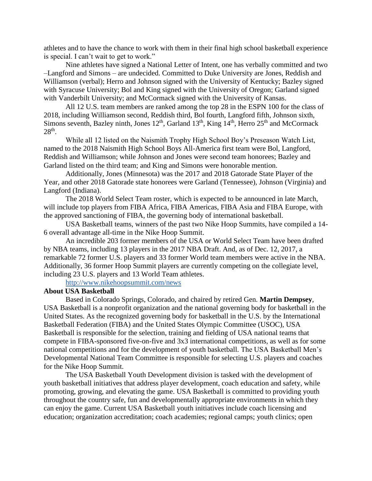athletes and to have the chance to work with them in their final high school basketball experience is special. I can't wait to get to work."

Nine athletes have signed a National Letter of Intent, one has verbally committed and two –Langford and Simons – are undecided. Committed to Duke University are Jones, Reddish and Williamson (verbal); Herro and Johnson signed with the University of Kentucky; Bazley signed with Syracuse University; Bol and King signed with the University of Oregon; Garland signed with Vanderbilt University; and McCormack signed with the University of Kansas.

All 12 U.S. team members are ranked among the top 28 in the ESPN 100 for the class of 2018, including Williamson second, Reddish third, Bol fourth, Langford fifth, Johnson sixth, Simons seventh, Bazley ninth, Jones  $12<sup>th</sup>$ , Garland  $13<sup>th</sup>$ , King  $14<sup>th</sup>$ , Herro  $25<sup>th</sup>$  and McCormack  $28<sup>th</sup>$ .

While all 12 listed on the Naismith Trophy High School Boy's Preseason Watch List, named to the 2018 Naismith High School Boys All-America first team were Bol, Langford, Reddish and Williamson; while Johnson and Jones were second team honorees; Bazley and Garland listed on the third team; and King and Simons were honorable mention.

Additionally, Jones (Minnesota) was the 2017 and 2018 Gatorade State Player of the Year, and other 2018 Gatorade state honorees were Garland (Tennessee), Johnson (Virginia) and Langford (Indiana).

The 2018 World Select Team roster, which is expected to be announced in late March, will include top players from FIBA Africa, FIBA Americas, FIBA Asia and FIBA Europe, with the approved sanctioning of FIBA, the governing body of international basketball.

USA Basketball teams, winners of the past two Nike Hoop Summits, have compiled a 14- 6 overall advantage all-time in the Nike Hoop Summit.

An incredible 203 former members of the USA or World Select Team have been drafted by NBA teams, including 13 players in the 2017 NBA Draft. And, as of Dec. 12, 2017, a remarkable 72 former U.S. players and 33 former World team members were active in the NBA. Additionally, 36 former Hoop Summit players are currently competing on the collegiate level, including 23 U.S. players and 13 World Team athletes.

<http://www.nikehoopsummit.com/news>

## **About USA Basketball**

Based in Colorado Springs, Colorado, and chaired by retired Gen. **Martin Dempsey**, USA Basketball is a nonprofit organization and the national governing body for basketball in the United States. As the recognized governing body for basketball in the U.S. by the International Basketball Federation (FIBA) and the United States Olympic Committee (USOC), USA Basketball is responsible for the selection, training and fielding of USA national teams that compete in FIBA-sponsored five-on-five and 3x3 international competitions, as well as for some national competitions and for the development of youth basketball. The USA Basketball Men's Developmental National Team Committee is responsible for selecting U.S. players and coaches for the Nike Hoop Summit.

The USA Basketball Youth Development division is tasked with the development of youth basketball initiatives that address player development, coach education and safety, while promoting, growing, and elevating the game. USA Basketball is committed to providing youth throughout the country safe, fun and developmentally appropriate environments in which they can enjoy the game. Current USA Basketball youth initiatives include coach licensing and education; organization accreditation; coach academies; regional camps; youth clinics; open